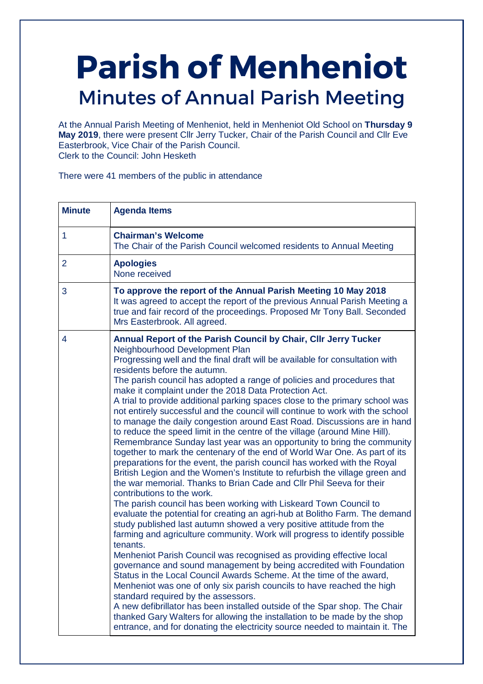# **Parish of Menheniot**  Minutes of Annual Parish Meeting

At the Annual Parish Meeting of Menheniot, held in Menheniot Old School on **Thursday 9 May 2019**, there were present Cllr Jerry Tucker, Chair of the Parish Council and Cllr Eve Easterbrook, Vice Chair of the Parish Council. Clerk to the Council: John Hesketh

There were 41 members of the public in attendance

| <b>Minute</b>  | <b>Agenda Items</b>                                                                                                                                                                                                                                                                                                                                                                                                                                                                                                                                                                                                                                                                                                                                                                                                                                                                                                                                                                                                                                                                                                                                                                                                                                                                                                                                                                                                                                                                                                                                                                                                                                                                                                                                                                                                                                                                                                                                                                                               |
|----------------|-------------------------------------------------------------------------------------------------------------------------------------------------------------------------------------------------------------------------------------------------------------------------------------------------------------------------------------------------------------------------------------------------------------------------------------------------------------------------------------------------------------------------------------------------------------------------------------------------------------------------------------------------------------------------------------------------------------------------------------------------------------------------------------------------------------------------------------------------------------------------------------------------------------------------------------------------------------------------------------------------------------------------------------------------------------------------------------------------------------------------------------------------------------------------------------------------------------------------------------------------------------------------------------------------------------------------------------------------------------------------------------------------------------------------------------------------------------------------------------------------------------------------------------------------------------------------------------------------------------------------------------------------------------------------------------------------------------------------------------------------------------------------------------------------------------------------------------------------------------------------------------------------------------------------------------------------------------------------------------------------------------------|
| $\mathbf{1}$   | <b>Chairman's Welcome</b><br>The Chair of the Parish Council welcomed residents to Annual Meeting                                                                                                                                                                                                                                                                                                                                                                                                                                                                                                                                                                                                                                                                                                                                                                                                                                                                                                                                                                                                                                                                                                                                                                                                                                                                                                                                                                                                                                                                                                                                                                                                                                                                                                                                                                                                                                                                                                                 |
| $\overline{2}$ | <b>Apologies</b><br>None received                                                                                                                                                                                                                                                                                                                                                                                                                                                                                                                                                                                                                                                                                                                                                                                                                                                                                                                                                                                                                                                                                                                                                                                                                                                                                                                                                                                                                                                                                                                                                                                                                                                                                                                                                                                                                                                                                                                                                                                 |
| 3              | To approve the report of the Annual Parish Meeting 10 May 2018<br>It was agreed to accept the report of the previous Annual Parish Meeting a<br>true and fair record of the proceedings. Proposed Mr Tony Ball. Seconded<br>Mrs Easterbrook. All agreed.                                                                                                                                                                                                                                                                                                                                                                                                                                                                                                                                                                                                                                                                                                                                                                                                                                                                                                                                                                                                                                                                                                                                                                                                                                                                                                                                                                                                                                                                                                                                                                                                                                                                                                                                                          |
| 4              | Annual Report of the Parish Council by Chair, Cllr Jerry Tucker<br>Neighbourhood Development Plan<br>Progressing well and the final draft will be available for consultation with<br>residents before the autumn.<br>The parish council has adopted a range of policies and procedures that<br>make it complaint under the 2018 Data Protection Act.<br>A trial to provide additional parking spaces close to the primary school was<br>not entirely successful and the council will continue to work with the school<br>to manage the daily congestion around East Road. Discussions are in hand<br>to reduce the speed limit in the centre of the village (around Mine Hill).<br>Remembrance Sunday last year was an opportunity to bring the community<br>together to mark the centenary of the end of World War One. As part of its<br>preparations for the event, the parish council has worked with the Royal<br>British Legion and the Women's Institute to refurbish the village green and<br>the war memorial. Thanks to Brian Cade and Cllr Phil Seeva for their<br>contributions to the work.<br>The parish council has been working with Liskeard Town Council to<br>evaluate the potential for creating an agri-hub at Bolitho Farm. The demand<br>study published last autumn showed a very positive attitude from the<br>farming and agriculture community. Work will progress to identify possible<br>tenants.<br>Menheniot Parish Council was recognised as providing effective local<br>governance and sound management by being accredited with Foundation<br>Status in the Local Council Awards Scheme. At the time of the award,<br>Menheniot was one of only six parish councils to have reached the high<br>standard required by the assessors.<br>A new defibrillator has been installed outside of the Spar shop. The Chair<br>thanked Gary Walters for allowing the installation to be made by the shop<br>entrance, and for donating the electricity source needed to maintain it. The |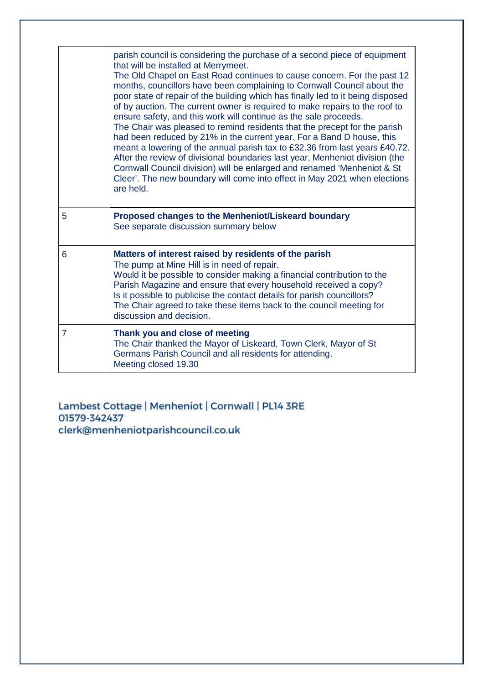|                | parish council is considering the purchase of a second piece of equipment<br>that will be installed at Merrymeet.<br>The Old Chapel on East Road continues to cause concern. For the past 12<br>months, councillors have been complaining to Cornwall Council about the<br>poor state of repair of the building which has finally led to it being disposed<br>of by auction. The current owner is required to make repairs to the roof to<br>ensure safety, and this work will continue as the sale proceeds.<br>The Chair was pleased to remind residents that the precept for the parish<br>had been reduced by 21% in the current year. For a Band D house, this<br>meant a lowering of the annual parish tax to £32.36 from last years £40.72.<br>After the review of divisional boundaries last year, Menheniot division (the<br>Cornwall Council division) will be enlarged and renamed 'Menheniot & St<br>Cleer'. The new boundary will come into effect in May 2021 when elections<br>are held. |
|----------------|---------------------------------------------------------------------------------------------------------------------------------------------------------------------------------------------------------------------------------------------------------------------------------------------------------------------------------------------------------------------------------------------------------------------------------------------------------------------------------------------------------------------------------------------------------------------------------------------------------------------------------------------------------------------------------------------------------------------------------------------------------------------------------------------------------------------------------------------------------------------------------------------------------------------------------------------------------------------------------------------------------|
| 5              | Proposed changes to the Menheniot/Liskeard boundary<br>See separate discussion summary below                                                                                                                                                                                                                                                                                                                                                                                                                                                                                                                                                                                                                                                                                                                                                                                                                                                                                                            |
| 6              | Matters of interest raised by residents of the parish<br>The pump at Mine Hill is in need of repair.<br>Would it be possible to consider making a financial contribution to the<br>Parish Magazine and ensure that every household received a copy?<br>Is it possible to publicise the contact details for parish councillors?<br>The Chair agreed to take these items back to the council meeting for<br>discussion and decision.                                                                                                                                                                                                                                                                                                                                                                                                                                                                                                                                                                      |
| $\overline{7}$ | Thank you and close of meeting<br>The Chair thanked the Mayor of Liskeard, Town Clerk, Mayor of St<br>Germans Parish Council and all residents for attending.<br>Meeting closed 19.30                                                                                                                                                                                                                                                                                                                                                                                                                                                                                                                                                                                                                                                                                                                                                                                                                   |

Lambest Cottage | Menheniot | Cornwall | PL14 3RE 01579-342437<br>clerk@menheniotparishcouncil.co.uk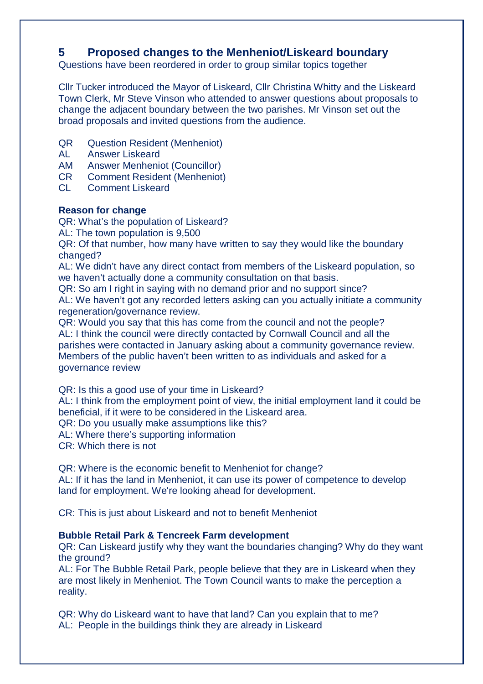## **5 Proposed changes to the Menheniot/Liskeard boundary**

Questions have been reordered in order to group similar topics together

Cllr Tucker introduced the Mayor of Liskeard, Cllr Christina Whitty and the Liskeard Town Clerk, Mr Steve Vinson who attended to answer questions about proposals to change the adjacent boundary between the two parishes. Mr Vinson set out the broad proposals and invited questions from the audience.

- QR Question Resident (Menheniot)
- AL Answer Liskeard
- AM Answer Menheniot (Councillor)
- CR Comment Resident (Menheniot)
- CL Comment Liskeard

## **Reason for change**

QR: What's the population of Liskeard?

AL: The town population is 9,500

QR: Of that number, how many have written to say they would like the boundary changed?

AL: We didn't have any direct contact from members of the Liskeard population, so we haven't actually done a community consultation on that basis.

QR: So am I right in saying with no demand prior and no support since?

AL: We haven't got any recorded letters asking can you actually initiate a community regeneration/governance review.

QR: Would you say that this has come from the council and not the people? AL: I think the council were directly contacted by Cornwall Council and all the parishes were contacted in January asking about a community governance review. Members of the public haven't been written to as individuals and asked for a governance review

QR: Is this a good use of your time in Liskeard?

AL: I think from the employment point of view, the initial employment land it could be beneficial, if it were to be considered in the Liskeard area.

QR: Do you usually make assumptions like this?

AL: Where there's supporting information

CR: Which there is not

QR: Where is the economic benefit to Menheniot for change?

AL: If it has the land in Menheniot, it can use its power of competence to develop land for employment. We're looking ahead for development.

CR: This is just about Liskeard and not to benefit Menheniot

## **Bubble Retail Park & Tencreek Farm development**

QR: Can Liskeard justify why they want the boundaries changing? Why do they want the ground?

AL: For The Bubble Retail Park, people believe that they are in Liskeard when they are most likely in Menheniot. The Town Council wants to make the perception a reality.

QR: Why do Liskeard want to have that land? Can you explain that to me? AL: People in the buildings think they are already in Liskeard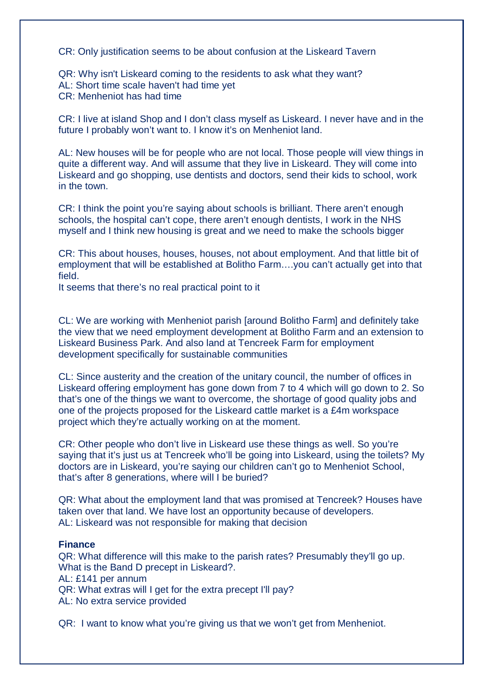CR: Only justification seems to be about confusion at the Liskeard Tavern

QR: Why isn't Liskeard coming to the residents to ask what they want? AL: Short time scale haven't had time yet CR: Menheniot has had time

CR: I live at island Shop and I don't class myself as Liskeard. I never have and in the future I probably won't want to. I know it's on Menheniot land.

AL: New houses will be for people who are not local. Those people will view things in quite a different way. And will assume that they live in Liskeard. They will come into Liskeard and go shopping, use dentists and doctors, send their kids to school, work in the town.

CR: I think the point you're saying about schools is brilliant. There aren't enough schools, the hospital can't cope, there aren't enough dentists, I work in the NHS myself and I think new housing is great and we need to make the schools bigger

CR: This about houses, houses, houses, not about employment. And that little bit of employment that will be established at Bolitho Farm….you can't actually get into that field.

It seems that there's no real practical point to it

CL: We are working with Menheniot parish [around Bolitho Farm] and definitely take the view that we need employment development at Bolitho Farm and an extension to Liskeard Business Park. And also land at Tencreek Farm for employment development specifically for sustainable communities

CL: Since austerity and the creation of the unitary council, the number of offices in Liskeard offering employment has gone down from 7 to 4 which will go down to 2. So that's one of the things we want to overcome, the shortage of good quality jobs and one of the projects proposed for the Liskeard cattle market is a £4m workspace project which they're actually working on at the moment.

CR: Other people who don't live in Liskeard use these things as well. So you're saying that it's just us at Tencreek who'll be going into Liskeard, using the toilets? My doctors are in Liskeard, you're saying our children can't go to Menheniot School, that's after 8 generations, where will I be buried?

QR: What about the employment land that was promised at Tencreek? Houses have taken over that land. We have lost an opportunity because of developers. AL: Liskeard was not responsible for making that decision

#### **Finance**

QR: What difference will this make to the parish rates? Presumably they'll go up. What is the Band D precept in Liskeard?. AL: £141 per annum QR: What extras will I get for the extra precept I'll pay? AL: No extra service provided

QR: I want to know what you're giving us that we won't get from Menheniot.